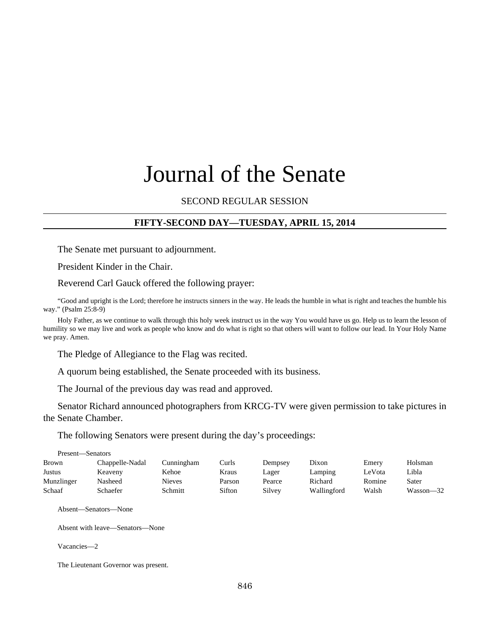# Journal of the Senate

## SECOND REGULAR SESSION

#### **FIFTY-SECOND DAY—TUESDAY, APRIL 15, 2014**

The Senate met pursuant to adjournment.

President Kinder in the Chair.

Reverend Carl Gauck offered the following prayer:

"Good and upright is the Lord; therefore he instructs sinners in the way. He leads the humble in what is right and teaches the humble his way." (Psalm 25:8-9)

Holy Father, as we continue to walk through this holy week instruct us in the way You would have us go. Help us to learn the lesson of humility so we may live and work as people who know and do what is right so that others will want to follow our lead. In Your Holy Name we pray. Amen.

The Pledge of Allegiance to the Flag was recited.

A quorum being established, the Senate proceeded with its business.

The Journal of the previous day was read and approved.

Senator Richard announced photographers from KRCG-TV were given permission to take pictures in the Senate Chamber.

The following Senators were present during the day's proceedings:

| Present—Senators |                 |            |        |         |             |        |           |
|------------------|-----------------|------------|--------|---------|-------------|--------|-----------|
| Brown            | Chappelle-Nadal | Cunningham | Curls  | Dempsey | Dixon       | Emery  | Holsman   |
| Justus           | Keaveny         | Kehoe      | Kraus  | Lager   | Lamping     | LeVota | Libla     |
| Munzlinger       | Nasheed         | Nieves     | Parson | Pearce  | Richard     | Romine | Sater     |
| Schaaf           | Schaefer        | Schmitt    | Sifton | Silvey  | Wallingford | Walsh  | Wasson-32 |

Absent—Senators—None

Absent with leave—Senators—None

Vacancies—2

The Lieutenant Governor was present.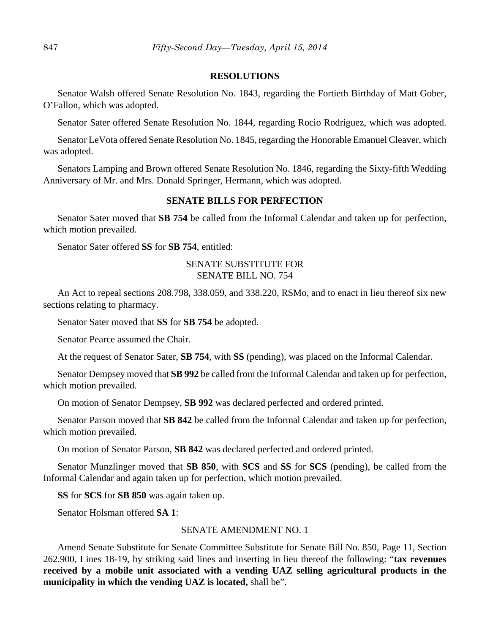#### **RESOLUTIONS**

Senator Walsh offered Senate Resolution No. 1843, regarding the Fortieth Birthday of Matt Gober, O'Fallon, which was adopted.

Senator Sater offered Senate Resolution No. 1844, regarding Rocio Rodriguez, which was adopted.

Senator LeVota offered Senate Resolution No. 1845, regarding the Honorable Emanuel Cleaver, which was adopted.

Senators Lamping and Brown offered Senate Resolution No. 1846, regarding the Sixty-fifth Wedding Anniversary of Mr. and Mrs. Donald Springer, Hermann, which was adopted.

## **SENATE BILLS FOR PERFECTION**

Senator Sater moved that **SB 754** be called from the Informal Calendar and taken up for perfection, which motion prevailed.

Senator Sater offered **SS** for **SB 754**, entitled:

## SENATE SUBSTITUTE FOR SENATE BILL NO. 754

An Act to repeal sections 208.798, 338.059, and 338.220, RSMo, and to enact in lieu thereof six new sections relating to pharmacy.

Senator Sater moved that **SS** for **SB 754** be adopted.

Senator Pearce assumed the Chair.

At the request of Senator Sater, **SB 754**, with **SS** (pending), was placed on the Informal Calendar.

Senator Dempsey moved that **SB 992** be called from the Informal Calendar and taken up for perfection, which motion prevailed.

On motion of Senator Dempsey, **SB 992** was declared perfected and ordered printed.

Senator Parson moved that **SB 842** be called from the Informal Calendar and taken up for perfection, which motion prevailed.

On motion of Senator Parson, **SB 842** was declared perfected and ordered printed.

Senator Munzlinger moved that **SB 850**, with **SCS** and **SS** for **SCS** (pending), be called from the Informal Calendar and again taken up for perfection, which motion prevailed.

**SS** for **SCS** for **SB 850** was again taken up.

Senator Holsman offered **SA 1**:

#### SENATE AMENDMENT NO. 1

Amend Senate Substitute for Senate Committee Substitute for Senate Bill No. 850, Page 11, Section 262.900, Lines 18-19, by striking said lines and inserting in lieu thereof the following: "**tax revenues received by a mobile unit associated with a vending UAZ selling agricultural products in the municipality in which the vending UAZ is located,** shall be".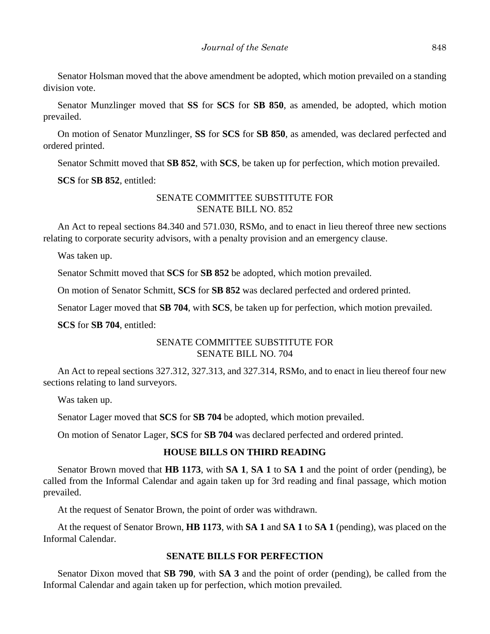Senator Holsman moved that the above amendment be adopted, which motion prevailed on a standing division vote.

Senator Munzlinger moved that **SS** for **SCS** for **SB 850**, as amended, be adopted, which motion prevailed.

On motion of Senator Munzlinger, **SS** for **SCS** for **SB 850**, as amended, was declared perfected and ordered printed.

Senator Schmitt moved that **SB 852**, with **SCS**, be taken up for perfection, which motion prevailed.

**SCS** for **SB 852**, entitled:

## SENATE COMMITTEE SUBSTITUTE FOR SENATE BILL NO. 852

An Act to repeal sections 84.340 and 571.030, RSMo, and to enact in lieu thereof three new sections relating to corporate security advisors, with a penalty provision and an emergency clause.

Was taken up.

Senator Schmitt moved that **SCS** for **SB 852** be adopted, which motion prevailed.

On motion of Senator Schmitt, **SCS** for **SB 852** was declared perfected and ordered printed.

Senator Lager moved that **SB 704**, with **SCS**, be taken up for perfection, which motion prevailed.

**SCS** for **SB 704**, entitled:

## SENATE COMMITTEE SUBSTITUTE FOR SENATE BILL NO. 704

An Act to repeal sections 327.312, 327.313, and 327.314, RSMo, and to enact in lieu thereof four new sections relating to land surveyors.

Was taken up.

Senator Lager moved that **SCS** for **SB 704** be adopted, which motion prevailed.

On motion of Senator Lager, **SCS** for **SB 704** was declared perfected and ordered printed.

#### **HOUSE BILLS ON THIRD READING**

Senator Brown moved that **HB 1173**, with **SA 1**, **SA 1** to **SA 1** and the point of order (pending), be called from the Informal Calendar and again taken up for 3rd reading and final passage, which motion prevailed.

At the request of Senator Brown, the point of order was withdrawn.

At the request of Senator Brown, **HB 1173**, with **SA 1** and **SA 1** to **SA 1** (pending), was placed on the Informal Calendar.

## **SENATE BILLS FOR PERFECTION**

Senator Dixon moved that **SB 790**, with **SA 3** and the point of order (pending), be called from the Informal Calendar and again taken up for perfection, which motion prevailed.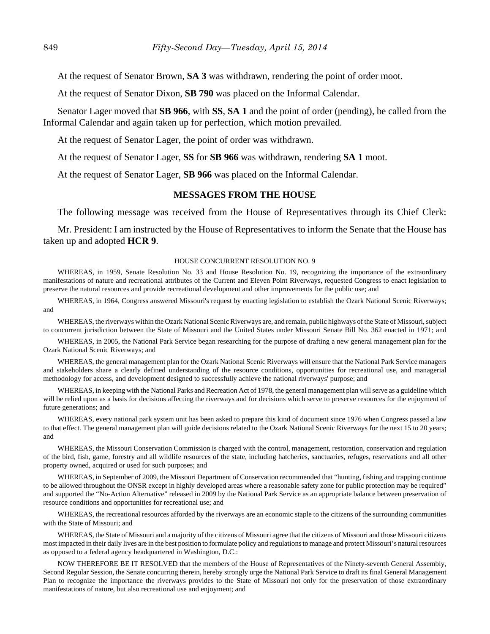At the request of Senator Brown, **SA 3** was withdrawn, rendering the point of order moot.

At the request of Senator Dixon, **SB 790** was placed on the Informal Calendar.

Senator Lager moved that **SB 966**, with **SS**, **SA 1** and the point of order (pending), be called from the Informal Calendar and again taken up for perfection, which motion prevailed.

At the request of Senator Lager, the point of order was withdrawn.

At the request of Senator Lager, **SS** for **SB 966** was withdrawn, rendering **SA 1** moot.

At the request of Senator Lager, **SB 966** was placed on the Informal Calendar.

#### **MESSAGES FROM THE HOUSE**

The following message was received from the House of Representatives through its Chief Clerk:

Mr. President: I am instructed by the House of Representatives to inform the Senate that the House has taken up and adopted **HCR 9**.

#### HOUSE CONCURRENT RESOLUTION NO. 9

WHEREAS, in 1959, Senate Resolution No. 33 and House Resolution No. 19, recognizing the importance of the extraordinary manifestations of nature and recreational attributes of the Current and Eleven Point Riverways, requested Congress to enact legislation to preserve the natural resources and provide recreational development and other improvements for the public use; and

WHEREAS, in 1964, Congress answered Missouri's request by enacting legislation to establish the Ozark National Scenic Riverways; and

WHEREAS, the riverways within the Ozark National Scenic Riverways are, and remain, public highways of the State of Missouri, subject to concurrent jurisdiction between the State of Missouri and the United States under Missouri Senate Bill No. 362 enacted in 1971; and

WHEREAS, in 2005, the National Park Service began researching for the purpose of drafting a new general management plan for the Ozark National Scenic Riverways; and

WHEREAS, the general management plan for the Ozark National Scenic Riverways will ensure that the National Park Service managers and stakeholders share a clearly defined understanding of the resource conditions, opportunities for recreational use, and managerial methodology for access, and development designed to successfully achieve the national riverways' purpose; and

WHEREAS, in keeping with the National Parks and Recreation Act of 1978, the general management plan will serve as a guideline which will be relied upon as a basis for decisions affecting the riverways and for decisions which serve to preserve resources for the enjoyment of future generations; and

WHEREAS, every national park system unit has been asked to prepare this kind of document since 1976 when Congress passed a law to that effect. The general management plan will guide decisions related to the Ozark National Scenic Riverways for the next 15 to 20 years; and

WHEREAS, the Missouri Conservation Commission is charged with the control, management, restoration, conservation and regulation of the bird, fish, game, forestry and all wildlife resources of the state, including hatcheries, sanctuaries, refuges, reservations and all other property owned, acquired or used for such purposes; and

WHEREAS, in September of 2009, the Missouri Department of Conservation recommended that "hunting, fishing and trapping continue to be allowed throughout the ONSR except in highly developed areas where a reasonable safety zone for public protection may be required" and supported the "No-Action Alternative" released in 2009 by the National Park Service as an appropriate balance between preservation of resource conditions and opportunities for recreational use; and

 WHEREAS, the recreational resources afforded by the riverways are an economic staple to the citizens of the surrounding communities with the State of Missouri; and

WHEREAS, the State of Missouri and a majority of the citizens of Missouri agree that the citizens of Missouri and those Missouri citizens most impacted in their daily lives are in the best position to formulate policy and regulations to manage and protect Missouri's natural resources as opposed to a federal agency headquartered in Washington, D.C.:

NOW THEREFORE BE IT RESOLVED that the members of the House of Representatives of the Ninety-seventh General Assembly, Second Regular Session, the Senate concurring therein, hereby strongly urge the National Park Service to draft its final General Management Plan to recognize the importance the riverways provides to the State of Missouri not only for the preservation of those extraordinary manifestations of nature, but also recreational use and enjoyment; and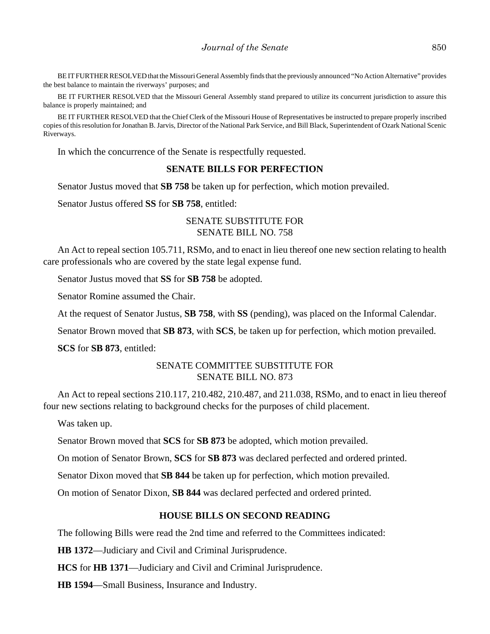BE IT FURTHER RESOLVED that the Missouri General Assembly finds that the previously announced "No Action Alternative" provides the best balance to maintain the riverways' purposes; and

BE IT FURTHER RESOLVED that the Missouri General Assembly stand prepared to utilize its concurrent jurisdiction to assure this balance is properly maintained; and

BE IT FURTHER RESOLVED that the Chief Clerk of the Missouri House of Representatives be instructed to prepare properly inscribed copies of this resolution for Jonathan B. Jarvis, Director of the National Park Service, and Bill Black, Superintendent of Ozark National Scenic Riverways.

In which the concurrence of the Senate is respectfully requested.

#### **SENATE BILLS FOR PERFECTION**

Senator Justus moved that **SB 758** be taken up for perfection, which motion prevailed.

Senator Justus offered **SS** for **SB 758**, entitled:

## SENATE SUBSTITUTE FOR SENATE BILL NO. 758

An Act to repeal section 105.711, RSMo, and to enact in lieu thereof one new section relating to health care professionals who are covered by the state legal expense fund.

Senator Justus moved that **SS** for **SB 758** be adopted.

Senator Romine assumed the Chair.

At the request of Senator Justus, **SB 758**, with **SS** (pending), was placed on the Informal Calendar.

Senator Brown moved that **SB 873**, with **SCS**, be taken up for perfection, which motion prevailed.

**SCS** for **SB 873**, entitled:

## SENATE COMMITTEE SUBSTITUTE FOR SENATE BILL NO. 873

An Act to repeal sections 210.117, 210.482, 210.487, and 211.038, RSMo, and to enact in lieu thereof four new sections relating to background checks for the purposes of child placement.

Was taken up.

Senator Brown moved that **SCS** for **SB 873** be adopted, which motion prevailed.

On motion of Senator Brown, **SCS** for **SB 873** was declared perfected and ordered printed.

Senator Dixon moved that **SB 844** be taken up for perfection, which motion prevailed.

On motion of Senator Dixon, **SB 844** was declared perfected and ordered printed.

#### **HOUSE BILLS ON SECOND READING**

The following Bills were read the 2nd time and referred to the Committees indicated:

**HB 1372**––Judiciary and Civil and Criminal Jurisprudence.

**HCS** for **HB 1371**––Judiciary and Civil and Criminal Jurisprudence.

**HB 1594**––Small Business, Insurance and Industry.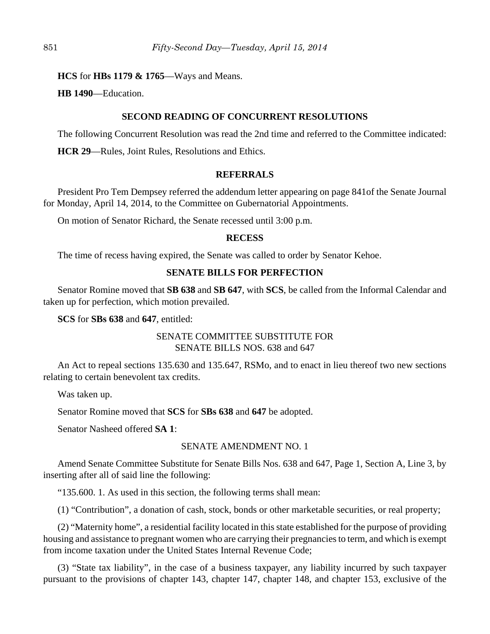**HCS** for **HBs 1179 & 1765**––Ways and Means.

**HB 1490**––Education.

#### **SECOND READING OF CONCURRENT RESOLUTIONS**

The following Concurrent Resolution was read the 2nd time and referred to the Committee indicated:

**HCR 29**—Rules, Joint Rules, Resolutions and Ethics.

#### **REFERRALS**

President Pro Tem Dempsey referred the addendum letter appearing on page 841of the Senate Journal for Monday, April 14, 2014, to the Committee on Gubernatorial Appointments.

On motion of Senator Richard, the Senate recessed until 3:00 p.m.

#### **RECESS**

The time of recess having expired, the Senate was called to order by Senator Kehoe.

## **SENATE BILLS FOR PERFECTION**

Senator Romine moved that **SB 638** and **SB 647**, with **SCS**, be called from the Informal Calendar and taken up for perfection, which motion prevailed.

**SCS** for **SBs 638** and **647**, entitled:

## SENATE COMMITTEE SUBSTITUTE FOR SENATE BILLS NOS. 638 and 647

An Act to repeal sections 135.630 and 135.647, RSMo, and to enact in lieu thereof two new sections relating to certain benevolent tax credits.

Was taken up.

Senator Romine moved that **SCS** for **SBs 638** and **647** be adopted.

Senator Nasheed offered **SA 1**:

#### SENATE AMENDMENT NO. 1

Amend Senate Committee Substitute for Senate Bills Nos. 638 and 647, Page 1, Section A, Line 3, by inserting after all of said line the following:

"135.600. 1. As used in this section, the following terms shall mean:

(1) "Contribution", a donation of cash, stock, bonds or other marketable securities, or real property;

(2) "Maternity home", a residential facility located in this state established for the purpose of providing housing and assistance to pregnant women who are carrying their pregnancies to term, and which is exempt from income taxation under the United States Internal Revenue Code;

(3) "State tax liability", in the case of a business taxpayer, any liability incurred by such taxpayer pursuant to the provisions of chapter 143, chapter 147, chapter 148, and chapter 153, exclusive of the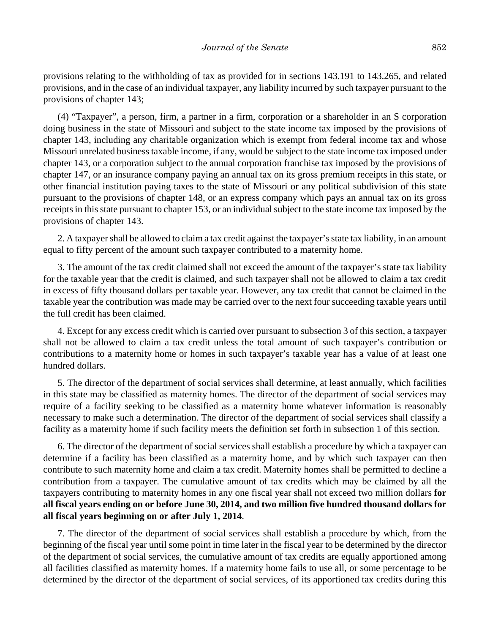provisions relating to the withholding of tax as provided for in sections 143.191 to 143.265, and related provisions, and in the case of an individual taxpayer, any liability incurred by such taxpayer pursuant to the provisions of chapter 143;

(4) "Taxpayer", a person, firm, a partner in a firm, corporation or a shareholder in an S corporation doing business in the state of Missouri and subject to the state income tax imposed by the provisions of chapter 143, including any charitable organization which is exempt from federal income tax and whose Missouri unrelated business taxable income, if any, would be subject to the state income tax imposed under chapter 143, or a corporation subject to the annual corporation franchise tax imposed by the provisions of chapter 147, or an insurance company paying an annual tax on its gross premium receipts in this state, or other financial institution paying taxes to the state of Missouri or any political subdivision of this state pursuant to the provisions of chapter 148, or an express company which pays an annual tax on its gross receipts in this state pursuant to chapter 153, or an individual subject to the state income tax imposed by the provisions of chapter 143.

2. A taxpayer shall be allowed to claim a tax credit against the taxpayer's state tax liability, in an amount equal to fifty percent of the amount such taxpayer contributed to a maternity home.

3. The amount of the tax credit claimed shall not exceed the amount of the taxpayer's state tax liability for the taxable year that the credit is claimed, and such taxpayer shall not be allowed to claim a tax credit in excess of fifty thousand dollars per taxable year. However, any tax credit that cannot be claimed in the taxable year the contribution was made may be carried over to the next four succeeding taxable years until the full credit has been claimed.

4. Except for any excess credit which is carried over pursuant to subsection 3 of this section, a taxpayer shall not be allowed to claim a tax credit unless the total amount of such taxpayer's contribution or contributions to a maternity home or homes in such taxpayer's taxable year has a value of at least one hundred dollars.

5. The director of the department of social services shall determine, at least annually, which facilities in this state may be classified as maternity homes. The director of the department of social services may require of a facility seeking to be classified as a maternity home whatever information is reasonably necessary to make such a determination. The director of the department of social services shall classify a facility as a maternity home if such facility meets the definition set forth in subsection 1 of this section.

6. The director of the department of social services shall establish a procedure by which a taxpayer can determine if a facility has been classified as a maternity home, and by which such taxpayer can then contribute to such maternity home and claim a tax credit. Maternity homes shall be permitted to decline a contribution from a taxpayer. The cumulative amount of tax credits which may be claimed by all the taxpayers contributing to maternity homes in any one fiscal year shall not exceed two million dollars **for all fiscal years ending on or before June 30, 2014, and two million five hundred thousand dollars for all fiscal years beginning on or after July 1, 2014**.

7. The director of the department of social services shall establish a procedure by which, from the beginning of the fiscal year until some point in time later in the fiscal year to be determined by the director of the department of social services, the cumulative amount of tax credits are equally apportioned among all facilities classified as maternity homes. If a maternity home fails to use all, or some percentage to be determined by the director of the department of social services, of its apportioned tax credits during this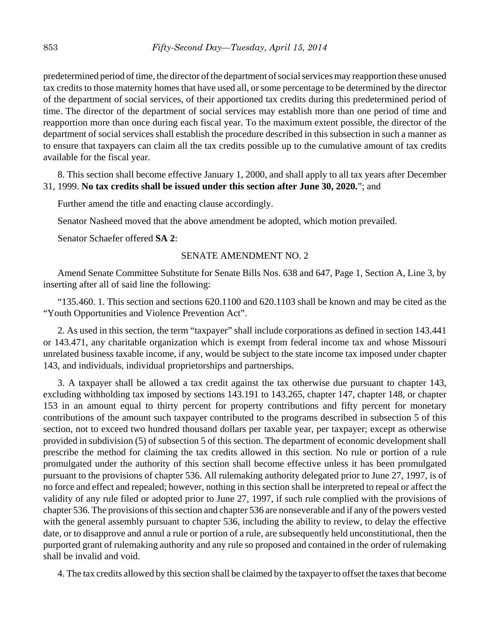predetermined period of time, the director of the department of social services may reapportion these unused tax credits to those maternity homes that have used all, or some percentage to be determined by the director of the department of social services, of their apportioned tax credits during this predetermined period of time. The director of the department of social services may establish more than one period of time and reapportion more than once during each fiscal year. To the maximum extent possible, the director of the department of social services shall establish the procedure described in this subsection in such a manner as to ensure that taxpayers can claim all the tax credits possible up to the cumulative amount of tax credits available for the fiscal year.

8. This section shall become effective January 1, 2000, and shall apply to all tax years after December 31, 1999. **No tax credits shall be issued under this section after June 30, 2020.**"; and

Further amend the title and enacting clause accordingly.

Senator Nasheed moved that the above amendment be adopted, which motion prevailed.

Senator Schaefer offered **SA 2**:

## SENATE AMENDMENT NO. 2

Amend Senate Committee Substitute for Senate Bills Nos. 638 and 647, Page 1, Section A, Line 3, by inserting after all of said line the following:

"135.460. 1. This section and sections 620.1100 and 620.1103 shall be known and may be cited as the "Youth Opportunities and Violence Prevention Act".

2. As used in this section, the term "taxpayer" shall include corporations as defined in section 143.441 or 143.471, any charitable organization which is exempt from federal income tax and whose Missouri unrelated business taxable income, if any, would be subject to the state income tax imposed under chapter 143, and individuals, individual proprietorships and partnerships.

3. A taxpayer shall be allowed a tax credit against the tax otherwise due pursuant to chapter 143, excluding withholding tax imposed by sections 143.191 to 143.265, chapter 147, chapter 148, or chapter 153 in an amount equal to thirty percent for property contributions and fifty percent for monetary contributions of the amount such taxpayer contributed to the programs described in subsection 5 of this section, not to exceed two hundred thousand dollars per taxable year, per taxpayer; except as otherwise provided in subdivision (5) of subsection 5 of this section. The department of economic development shall prescribe the method for claiming the tax credits allowed in this section. No rule or portion of a rule promulgated under the authority of this section shall become effective unless it has been promulgated pursuant to the provisions of chapter 536. All rulemaking authority delegated prior to June 27, 1997, is of no force and effect and repealed; however, nothing in this section shall be interpreted to repeal or affect the validity of any rule filed or adopted prior to June 27, 1997, if such rule complied with the provisions of chapter 536. The provisions of this section and chapter 536 are nonseverable and if any of the powers vested with the general assembly pursuant to chapter 536, including the ability to review, to delay the effective date, or to disapprove and annul a rule or portion of a rule, are subsequently held unconstitutional, then the purported grant of rulemaking authority and any rule so proposed and contained in the order of rulemaking shall be invalid and void.

4. The tax credits allowed by this section shall be claimed by the taxpayer to offset the taxes that become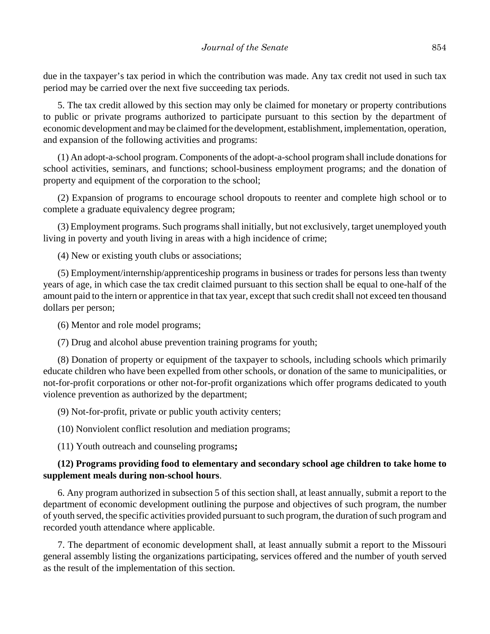due in the taxpayer's tax period in which the contribution was made. Any tax credit not used in such tax period may be carried over the next five succeeding tax periods.

5. The tax credit allowed by this section may only be claimed for monetary or property contributions to public or private programs authorized to participate pursuant to this section by the department of economic development and may be claimed for the development, establishment, implementation, operation, and expansion of the following activities and programs:

(1) An adopt-a-school program. Components of the adopt-a-school program shall include donations for school activities, seminars, and functions; school-business employment programs; and the donation of property and equipment of the corporation to the school;

(2) Expansion of programs to encourage school dropouts to reenter and complete high school or to complete a graduate equivalency degree program;

(3) Employment programs. Such programs shall initially, but not exclusively, target unemployed youth living in poverty and youth living in areas with a high incidence of crime;

(4) New or existing youth clubs or associations;

(5) Employment/internship/apprenticeship programs in business or trades for persons less than twenty years of age, in which case the tax credit claimed pursuant to this section shall be equal to one-half of the amount paid to the intern or apprentice in that tax year, except that such credit shall not exceed ten thousand dollars per person;

(6) Mentor and role model programs;

(7) Drug and alcohol abuse prevention training programs for youth;

(8) Donation of property or equipment of the taxpayer to schools, including schools which primarily educate children who have been expelled from other schools, or donation of the same to municipalities, or not-for-profit corporations or other not-for-profit organizations which offer programs dedicated to youth violence prevention as authorized by the department;

(9) Not-for-profit, private or public youth activity centers;

(10) Nonviolent conflict resolution and mediation programs;

(11) Youth outreach and counseling programs**;**

## **(12) Programs providing food to elementary and secondary school age children to take home to supplement meals during non-school hours**.

6. Any program authorized in subsection 5 of this section shall, at least annually, submit a report to the department of economic development outlining the purpose and objectives of such program, the number of youth served, the specific activities provided pursuant to such program, the duration of such program and recorded youth attendance where applicable.

7. The department of economic development shall, at least annually submit a report to the Missouri general assembly listing the organizations participating, services offered and the number of youth served as the result of the implementation of this section.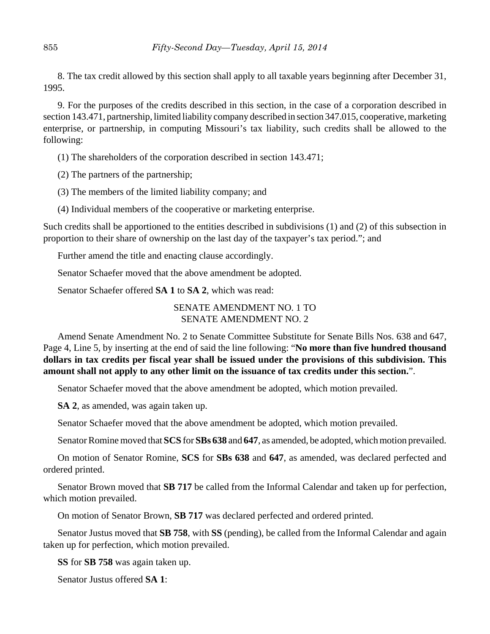8. The tax credit allowed by this section shall apply to all taxable years beginning after December 31, 1995.

9. For the purposes of the credits described in this section, in the case of a corporation described in section 143.471, partnership, limited liability company described in section 347.015, cooperative, marketing enterprise, or partnership, in computing Missouri's tax liability, such credits shall be allowed to the following:

(1) The shareholders of the corporation described in section 143.471;

(2) The partners of the partnership;

(3) The members of the limited liability company; and

(4) Individual members of the cooperative or marketing enterprise.

Such credits shall be apportioned to the entities described in subdivisions (1) and (2) of this subsection in proportion to their share of ownership on the last day of the taxpayer's tax period."; and

Further amend the title and enacting clause accordingly.

Senator Schaefer moved that the above amendment be adopted.

Senator Schaefer offered **SA 1** to **SA 2**, which was read:

SENATE AMENDMENT NO. 1 TO SENATE AMENDMENT NO. 2

Amend Senate Amendment No. 2 to Senate Committee Substitute for Senate Bills Nos. 638 and 647, Page 4, Line 5, by inserting at the end of said the line following: "**No more than five hundred thousand dollars in tax credits per fiscal year shall be issued under the provisions of this subdivision. This amount shall not apply to any other limit on the issuance of tax credits under this section.**".

Senator Schaefer moved that the above amendment be adopted, which motion prevailed.

**SA 2**, as amended, was again taken up.

Senator Schaefer moved that the above amendment be adopted, which motion prevailed.

Senator Romine moved that **SCS** for **SBs 638** and **647**, as amended, be adopted, which motion prevailed.

On motion of Senator Romine, **SCS** for **SBs 638** and **647**, as amended, was declared perfected and ordered printed.

Senator Brown moved that **SB 717** be called from the Informal Calendar and taken up for perfection, which motion prevailed.

On motion of Senator Brown, **SB 717** was declared perfected and ordered printed.

Senator Justus moved that **SB 758**, with **SS** (pending), be called from the Informal Calendar and again taken up for perfection, which motion prevailed.

**SS** for **SB 758** was again taken up.

Senator Justus offered **SA 1**: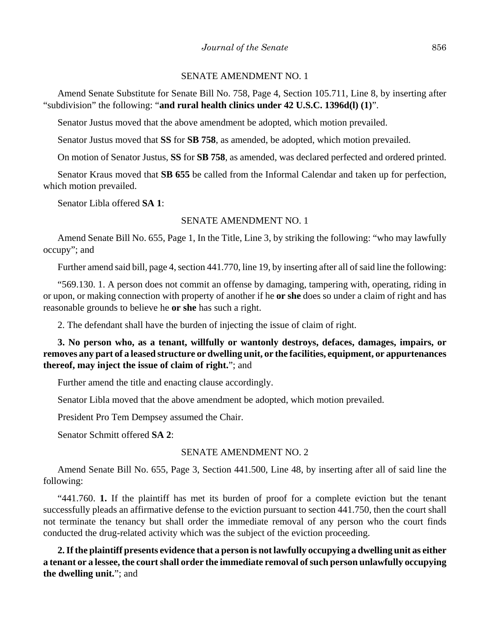#### SENATE AMENDMENT NO. 1

Amend Senate Substitute for Senate Bill No. 758, Page 4, Section 105.711, Line 8, by inserting after "subdivision" the following: "**and rural health clinics under 42 U.S.C. 1396d(l) (1)**".

Senator Justus moved that the above amendment be adopted, which motion prevailed.

Senator Justus moved that **SS** for **SB 758**, as amended, be adopted, which motion prevailed.

On motion of Senator Justus, **SS** for **SB 758**, as amended, was declared perfected and ordered printed.

Senator Kraus moved that **SB 655** be called from the Informal Calendar and taken up for perfection, which motion prevailed.

Senator Libla offered **SA 1**:

#### SENATE AMENDMENT NO. 1

Amend Senate Bill No. 655, Page 1, In the Title, Line 3, by striking the following: "who may lawfully occupy"; and

Further amend said bill, page 4, section 441.770, line 19, by inserting after all of said line the following:

"569.130. 1. A person does not commit an offense by damaging, tampering with, operating, riding in or upon, or making connection with property of another if he **or she** does so under a claim of right and has reasonable grounds to believe he **or she** has such a right.

2. The defendant shall have the burden of injecting the issue of claim of right.

**3. No person who, as a tenant, willfully or wantonly destroys, defaces, damages, impairs, or removes any part of a leased structure or dwelling unit, or the facilities, equipment, or appurtenances thereof, may inject the issue of claim of right.**"; and

Further amend the title and enacting clause accordingly.

Senator Libla moved that the above amendment be adopted, which motion prevailed.

President Pro Tem Dempsey assumed the Chair.

Senator Schmitt offered **SA 2**:

#### SENATE AMENDMENT NO. 2

Amend Senate Bill No. 655, Page 3, Section 441.500, Line 48, by inserting after all of said line the following:

"441.760. **1.** If the plaintiff has met its burden of proof for a complete eviction but the tenant successfully pleads an affirmative defense to the eviction pursuant to section 441.750, then the court shall not terminate the tenancy but shall order the immediate removal of any person who the court finds conducted the drug-related activity which was the subject of the eviction proceeding.

**2. If the plaintiff presents evidence that a person is not lawfully occupying a dwelling unit as either a tenant or a lessee, the court shall order the immediate removal of such person unlawfully occupying the dwelling unit.**"; and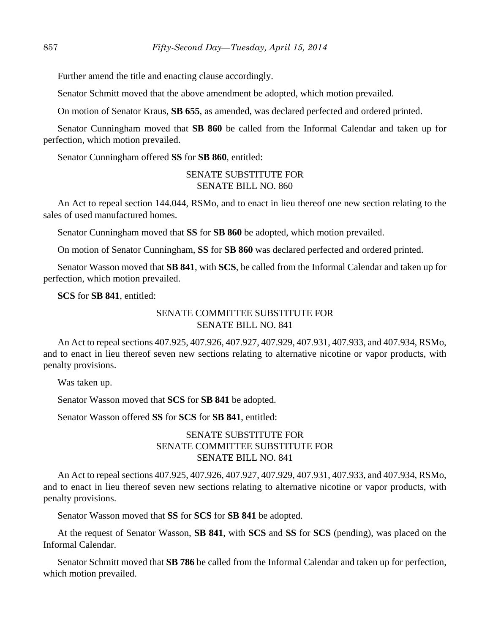Further amend the title and enacting clause accordingly.

Senator Schmitt moved that the above amendment be adopted, which motion prevailed.

On motion of Senator Kraus, **SB 655**, as amended, was declared perfected and ordered printed.

Senator Cunningham moved that **SB 860** be called from the Informal Calendar and taken up for perfection, which motion prevailed.

Senator Cunningham offered **SS** for **SB 860**, entitled:

## SENATE SUBSTITUTE FOR SENATE BILL NO. 860

An Act to repeal section 144.044, RSMo, and to enact in lieu thereof one new section relating to the sales of used manufactured homes.

Senator Cunningham moved that **SS** for **SB 860** be adopted, which motion prevailed.

On motion of Senator Cunningham, **SS** for **SB 860** was declared perfected and ordered printed.

Senator Wasson moved that **SB 841**, with **SCS**, be called from the Informal Calendar and taken up for perfection, which motion prevailed.

**SCS** for **SB 841**, entitled:

## SENATE COMMITTEE SUBSTITUTE FOR SENATE BILL NO. 841

An Act to repeal sections 407.925, 407.926, 407.927, 407.929, 407.931, 407.933, and 407.934, RSMo, and to enact in lieu thereof seven new sections relating to alternative nicotine or vapor products, with penalty provisions.

Was taken up.

Senator Wasson moved that **SCS** for **SB 841** be adopted.

Senator Wasson offered **SS** for **SCS** for **SB 841**, entitled:

## SENATE SUBSTITUTE FOR SENATE COMMITTEE SUBSTITUTE FOR SENATE BILL NO. 841

An Act to repeal sections 407.925, 407.926, 407.927, 407.929, 407.931, 407.933, and 407.934, RSMo, and to enact in lieu thereof seven new sections relating to alternative nicotine or vapor products, with penalty provisions.

Senator Wasson moved that **SS** for **SCS** for **SB 841** be adopted.

At the request of Senator Wasson, **SB 841**, with **SCS** and **SS** for **SCS** (pending), was placed on the Informal Calendar.

Senator Schmitt moved that **SB 786** be called from the Informal Calendar and taken up for perfection, which motion prevailed.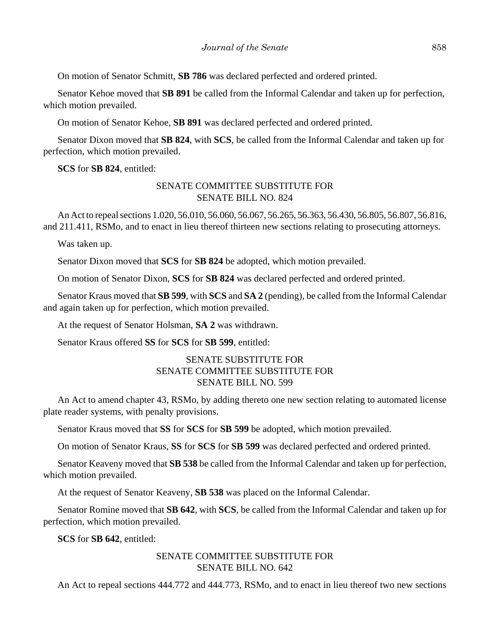On motion of Senator Schmitt, **SB 786** was declared perfected and ordered printed.

Senator Kehoe moved that **SB 891** be called from the Informal Calendar and taken up for perfection, which motion prevailed.

On motion of Senator Kehoe, **SB 891** was declared perfected and ordered printed.

Senator Dixon moved that **SB 824**, with **SCS**, be called from the Informal Calendar and taken up for perfection, which motion prevailed.

**SCS** for **SB 824**, entitled:

## SENATE COMMITTEE SUBSTITUTE FOR SENATE BILL NO. 824

An Act to repeal sections 1.020, 56.010, 56.060, 56.067, 56.265, 56.363, 56.430, 56.805, 56.807, 56.816, and 211.411, RSMo, and to enact in lieu thereof thirteen new sections relating to prosecuting attorneys.

Was taken up.

Senator Dixon moved that **SCS** for **SB 824** be adopted, which motion prevailed.

On motion of Senator Dixon, **SCS** for **SB 824** was declared perfected and ordered printed.

Senator Kraus moved that **SB 599**, with **SCS** and **SA 2** (pending), be called from the Informal Calendar and again taken up for perfection, which motion prevailed.

At the request of Senator Holsman, **SA 2** was withdrawn.

Senator Kraus offered **SS** for **SCS** for **SB 599**, entitled:

## SENATE SUBSTITUTE FOR SENATE COMMITTEE SUBSTITUTE FOR SENATE BILL NO. 599

An Act to amend chapter 43, RSMo, by adding thereto one new section relating to automated license plate reader systems, with penalty provisions.

Senator Kraus moved that **SS** for **SCS** for **SB 599** be adopted, which motion prevailed.

On motion of Senator Kraus, **SS** for **SCS** for **SB 599** was declared perfected and ordered printed.

Senator Keaveny moved that **SB 538** be called from the Informal Calendar and taken up for perfection, which motion prevailed.

At the request of Senator Keaveny, **SB 538** was placed on the Informal Calendar.

Senator Romine moved that **SB 642**, with **SCS**, be called from the Informal Calendar and taken up for perfection, which motion prevailed.

**SCS** for **SB 642**, entitled:

## SENATE COMMITTEE SUBSTITUTE FOR SENATE BILL NO. 642

An Act to repeal sections 444.772 and 444.773, RSMo, and to enact in lieu thereof two new sections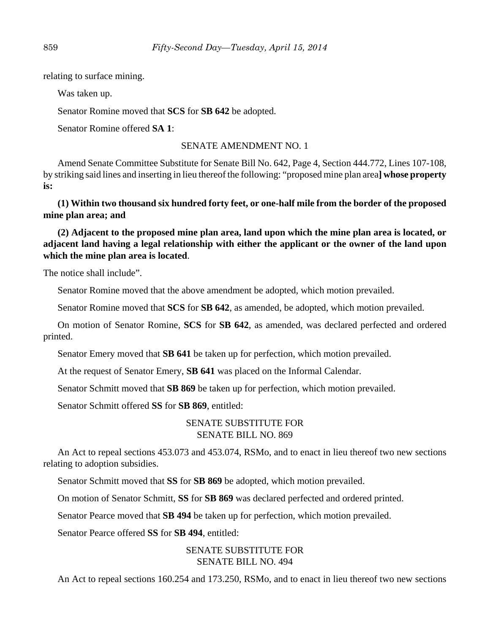relating to surface mining.

Was taken up.

Senator Romine moved that **SCS** for **SB 642** be adopted.

Senator Romine offered **SA 1**:

#### SENATE AMENDMENT NO. 1

Amend Senate Committee Substitute for Senate Bill No. 642, Page 4, Section 444.772, Lines 107-108, by striking said lines and inserting in lieu thereof the following: "proposed mine plan area**] whose property is:**

**(1) Within two thousand six hundred forty feet, or one-half mile from the border of the proposed mine plan area; and**

**(2) Adjacent to the proposed mine plan area, land upon which the mine plan area is located, or adjacent land having a legal relationship with either the applicant or the owner of the land upon which the mine plan area is located**.

The notice shall include".

Senator Romine moved that the above amendment be adopted, which motion prevailed.

Senator Romine moved that **SCS** for **SB 642**, as amended, be adopted, which motion prevailed.

On motion of Senator Romine, **SCS** for **SB 642**, as amended, was declared perfected and ordered printed.

Senator Emery moved that **SB 641** be taken up for perfection, which motion prevailed.

At the request of Senator Emery, **SB 641** was placed on the Informal Calendar.

Senator Schmitt moved that **SB 869** be taken up for perfection, which motion prevailed.

Senator Schmitt offered **SS** for **SB 869**, entitled:

## SENATE SUBSTITUTE FOR SENATE BILL NO. 869

An Act to repeal sections 453.073 and 453.074, RSMo, and to enact in lieu thereof two new sections relating to adoption subsidies.

Senator Schmitt moved that **SS** for **SB 869** be adopted, which motion prevailed.

On motion of Senator Schmitt, **SS** for **SB 869** was declared perfected and ordered printed.

Senator Pearce moved that **SB 494** be taken up for perfection, which motion prevailed.

Senator Pearce offered **SS** for **SB 494**, entitled:

## SENATE SUBSTITUTE FOR SENATE BILL NO. 494

An Act to repeal sections 160.254 and 173.250, RSMo, and to enact in lieu thereof two new sections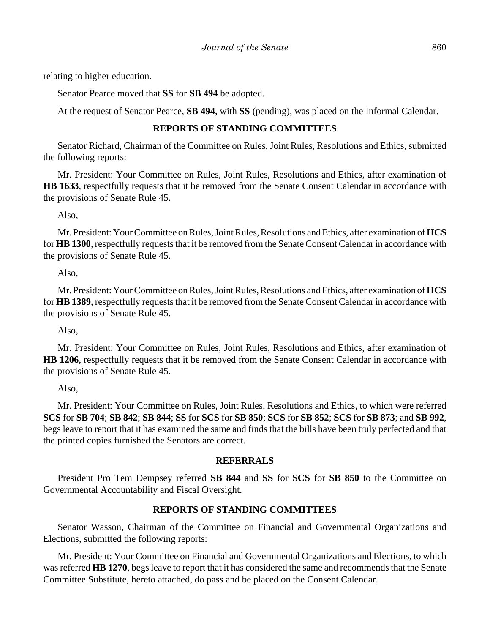relating to higher education.

Senator Pearce moved that **SS** for **SB 494** be adopted.

At the request of Senator Pearce, **SB 494**, with **SS** (pending), was placed on the Informal Calendar.

## **REPORTS OF STANDING COMMITTEES**

Senator Richard, Chairman of the Committee on Rules, Joint Rules, Resolutions and Ethics, submitted the following reports:

Mr. President: Your Committee on Rules, Joint Rules, Resolutions and Ethics, after examination of **HB 1633**, respectfully requests that it be removed from the Senate Consent Calendar in accordance with the provisions of Senate Rule 45.

Also,

Mr. President: Your Committee on Rules, Joint Rules, Resolutions and Ethics, after examination of **HCS** for **HB 1300**, respectfully requests that it be removed from the Senate Consent Calendar in accordance with the provisions of Senate Rule 45.

Also,

Mr. President: Your Committee on Rules, Joint Rules, Resolutions and Ethics, after examination of **HCS** for **HB 1389**, respectfully requests that it be removed from the Senate Consent Calendar in accordance with the provisions of Senate Rule 45.

Also,

Mr. President: Your Committee on Rules, Joint Rules, Resolutions and Ethics, after examination of **HB 1206**, respectfully requests that it be removed from the Senate Consent Calendar in accordance with the provisions of Senate Rule 45.

Also,

Mr. President: Your Committee on Rules, Joint Rules, Resolutions and Ethics, to which were referred **SCS** for **SB 704**; **SB 842**; **SB 844**; **SS** for **SCS** for **SB 850**; **SCS** for **SB 852**; **SCS** for **SB 873**; and **SB 992**, begs leave to report that it has examined the same and finds that the bills have been truly perfected and that the printed copies furnished the Senators are correct.

#### **REFERRALS**

President Pro Tem Dempsey referred **SB 844** and **SS** for **SCS** for **SB 850** to the Committee on Governmental Accountability and Fiscal Oversight.

#### **REPORTS OF STANDING COMMITTEES**

Senator Wasson, Chairman of the Committee on Financial and Governmental Organizations and Elections, submitted the following reports:

Mr. President: Your Committee on Financial and Governmental Organizations and Elections, to which was referred **HB 1270**, begs leave to report that it has considered the same and recommends that the Senate Committee Substitute, hereto attached, do pass and be placed on the Consent Calendar.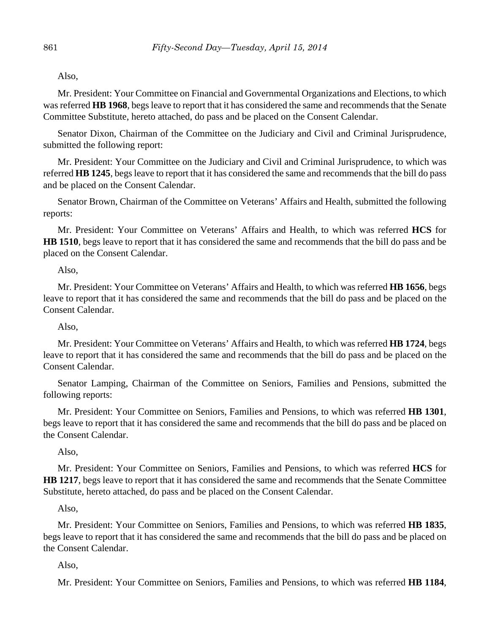Also,

Mr. President: Your Committee on Financial and Governmental Organizations and Elections, to which was referred **HB 1968**, begs leave to report that it has considered the same and recommends that the Senate Committee Substitute, hereto attached, do pass and be placed on the Consent Calendar.

Senator Dixon, Chairman of the Committee on the Judiciary and Civil and Criminal Jurisprudence, submitted the following report:

Mr. President: Your Committee on the Judiciary and Civil and Criminal Jurisprudence, to which was referred **HB 1245**, begs leave to report that it has considered the same and recommends that the bill do pass and be placed on the Consent Calendar.

Senator Brown, Chairman of the Committee on Veterans' Affairs and Health, submitted the following reports:

Mr. President: Your Committee on Veterans' Affairs and Health, to which was referred **HCS** for **HB 1510**, begs leave to report that it has considered the same and recommends that the bill do pass and be placed on the Consent Calendar.

Also,

Mr. President: Your Committee on Veterans' Affairs and Health, to which was referred **HB 1656**, begs leave to report that it has considered the same and recommends that the bill do pass and be placed on the Consent Calendar.

Also,

Mr. President: Your Committee on Veterans' Affairs and Health, to which was referred **HB 1724**, begs leave to report that it has considered the same and recommends that the bill do pass and be placed on the Consent Calendar.

Senator Lamping, Chairman of the Committee on Seniors, Families and Pensions, submitted the following reports:

Mr. President: Your Committee on Seniors, Families and Pensions, to which was referred **HB 1301**, begs leave to report that it has considered the same and recommends that the bill do pass and be placed on the Consent Calendar.

Also,

Mr. President: Your Committee on Seniors, Families and Pensions, to which was referred **HCS** for **HB 1217**, begs leave to report that it has considered the same and recommends that the Senate Committee Substitute, hereto attached, do pass and be placed on the Consent Calendar.

Also,

Mr. President: Your Committee on Seniors, Families and Pensions, to which was referred **HB 1835**, begs leave to report that it has considered the same and recommends that the bill do pass and be placed on the Consent Calendar.

Also,

Mr. President: Your Committee on Seniors, Families and Pensions, to which was referred **HB 1184**,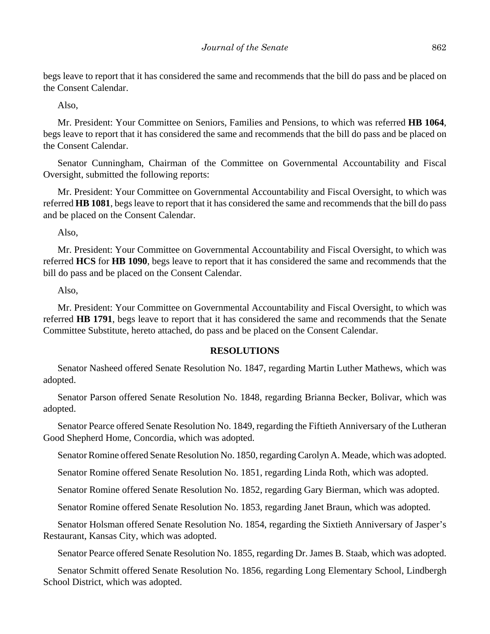begs leave to report that it has considered the same and recommends that the bill do pass and be placed on the Consent Calendar.

Also,

Mr. President: Your Committee on Seniors, Families and Pensions, to which was referred **HB 1064**, begs leave to report that it has considered the same and recommends that the bill do pass and be placed on the Consent Calendar.

Senator Cunningham, Chairman of the Committee on Governmental Accountability and Fiscal Oversight, submitted the following reports:

Mr. President: Your Committee on Governmental Accountability and Fiscal Oversight, to which was referred **HB 1081**, begs leave to report that it has considered the same and recommends that the bill do pass and be placed on the Consent Calendar.

Also,

Mr. President: Your Committee on Governmental Accountability and Fiscal Oversight, to which was referred **HCS** for **HB 1090**, begs leave to report that it has considered the same and recommends that the bill do pass and be placed on the Consent Calendar.

Also,

Mr. President: Your Committee on Governmental Accountability and Fiscal Oversight, to which was referred **HB 1791**, begs leave to report that it has considered the same and recommends that the Senate Committee Substitute, hereto attached, do pass and be placed on the Consent Calendar.

#### **RESOLUTIONS**

Senator Nasheed offered Senate Resolution No. 1847, regarding Martin Luther Mathews, which was adopted.

Senator Parson offered Senate Resolution No. 1848, regarding Brianna Becker, Bolivar, which was adopted.

Senator Pearce offered Senate Resolution No. 1849, regarding the Fiftieth Anniversary of the Lutheran Good Shepherd Home, Concordia, which was adopted.

Senator Romine offered Senate Resolution No. 1850, regarding Carolyn A. Meade, which was adopted.

Senator Romine offered Senate Resolution No. 1851, regarding Linda Roth, which was adopted.

Senator Romine offered Senate Resolution No. 1852, regarding Gary Bierman, which was adopted.

Senator Romine offered Senate Resolution No. 1853, regarding Janet Braun, which was adopted.

Senator Holsman offered Senate Resolution No. 1854, regarding the Sixtieth Anniversary of Jasper's Restaurant, Kansas City, which was adopted.

Senator Pearce offered Senate Resolution No. 1855, regarding Dr. James B. Staab, which was adopted.

Senator Schmitt offered Senate Resolution No. 1856, regarding Long Elementary School, Lindbergh School District, which was adopted.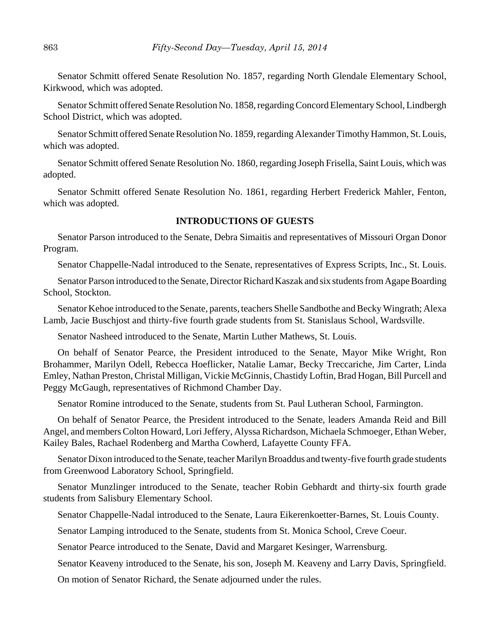Senator Schmitt offered Senate Resolution No. 1857, regarding North Glendale Elementary School, Kirkwood, which was adopted.

Senator Schmitt offered Senate Resolution No. 1858, regarding Concord Elementary School, Lindbergh School District, which was adopted.

Senator Schmitt offered Senate Resolution No. 1859, regarding Alexander Timothy Hammon, St. Louis, which was adopted.

Senator Schmitt offered Senate Resolution No. 1860, regarding Joseph Frisella, Saint Louis, which was adopted.

Senator Schmitt offered Senate Resolution No. 1861, regarding Herbert Frederick Mahler, Fenton, which was adopted.

## **INTRODUCTIONS OF GUESTS**

Senator Parson introduced to the Senate, Debra Simaitis and representatives of Missouri Organ Donor Program.

Senator Chappelle-Nadal introduced to the Senate, representatives of Express Scripts, Inc., St. Louis.

Senator Parson introduced to the Senate, Director Richard Kaszak and six students from Agape Boarding School, Stockton.

Senator Kehoe introduced to the Senate, parents, teachers Shelle Sandbothe and Becky Wingrath; Alexa Lamb, Jacie Buschjost and thirty-five fourth grade students from St. Stanislaus School, Wardsville.

Senator Nasheed introduced to the Senate, Martin Luther Mathews, St. Louis.

On behalf of Senator Pearce, the President introduced to the Senate, Mayor Mike Wright, Ron Brohammer, Marilyn Odell, Rebecca Hoeflicker, Natalie Lamar, Becky Treccariche, Jim Carter, Linda Emley, Nathan Preston, Christal Milligan, Vickie McGinnis, Chastidy Loftin, Brad Hogan, Bill Purcell and Peggy McGaugh, representatives of Richmond Chamber Day.

Senator Romine introduced to the Senate, students from St. Paul Lutheran School, Farmington.

On behalf of Senator Pearce, the President introduced to the Senate, leaders Amanda Reid and Bill Angel, and members Colton Howard, Lori Jeffery, Alyssa Richardson, Michaela Schmoeger, Ethan Weber, Kailey Bales, Rachael Rodenberg and Martha Cowherd, Lafayette County FFA.

Senator Dixon introduced to the Senate, teacher Marilyn Broaddus and twenty-five fourth grade students from Greenwood Laboratory School, Springfield.

Senator Munzlinger introduced to the Senate, teacher Robin Gebhardt and thirty-six fourth grade students from Salisbury Elementary School.

Senator Chappelle-Nadal introduced to the Senate, Laura Eikerenkoetter-Barnes, St. Louis County.

Senator Lamping introduced to the Senate, students from St. Monica School, Creve Coeur.

Senator Pearce introduced to the Senate, David and Margaret Kesinger, Warrensburg.

Senator Keaveny introduced to the Senate, his son, Joseph M. Keaveny and Larry Davis, Springfield.

On motion of Senator Richard, the Senate adjourned under the rules.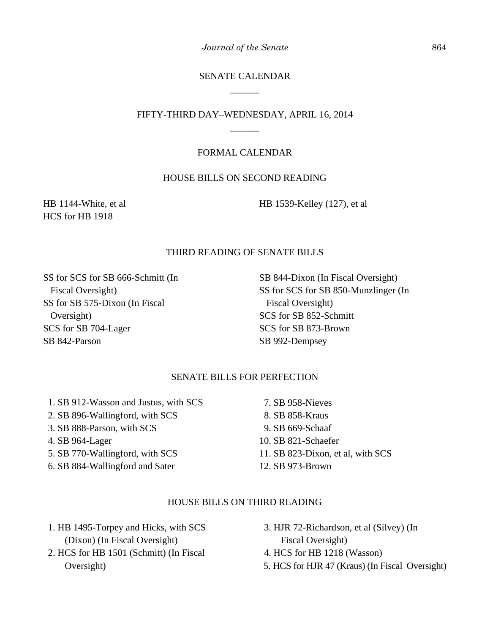*Journal of the Senate* 864

# SENATE CALENDAR \_\_\_\_\_\_

## FIFTY-THIRD DAY–WEDNESDAY, APRIL 16, 2014 \_\_\_\_\_\_

#### FORMAL CALENDAR

## HOUSE BILLS ON SECOND READING

HB 1144-White, et al HCS for HB 1918

HB 1539-Kelley (127), et al

#### THIRD READING OF SENATE BILLS

SS for SCS for SB 666-Schmitt (In Fiscal Oversight) SS for SB 575-Dixon (In Fiscal Oversight) SCS for SB 704-Lager SB 842-Parson

SB 844-Dixon (In Fiscal Oversight) SS for SCS for SB 850-Munzlinger (In Fiscal Oversight) SCS for SB 852-Schmitt SCS for SB 873-Brown SB 992-Dempsey

## SENATE BILLS FOR PERFECTION

 1. SB 912-Wasson and Justus, with SCS 2. SB 896-Wallingford, with SCS 3. SB 888-Parson, with SCS 4. SB 964-Lager

5. SB 770-Wallingford, with SCS

6. SB 884-Wallingford and Sater

 7. SB 958-Nieves 8. SB 858-Kraus 9. SB 669-Schaaf 10. SB 821-Schaefer

- 11. SB 823-Dixon, et al, with SCS
- 12. SB 973-Brown

## HOUSE BILLS ON THIRD READING

- 1. HB 1495-Torpey and Hicks, with SCS (Dixon) (In Fiscal Oversight)
- 2. HCS for HB 1501 (Schmitt) (In Fiscal Oversight)
- 3. HJR 72-Richardson, et al (Silvey) (In Fiscal Oversight)
- 4. HCS for HB 1218 (Wasson)
- 5. HCS for HJR 47 (Kraus) (In Fiscal Oversight)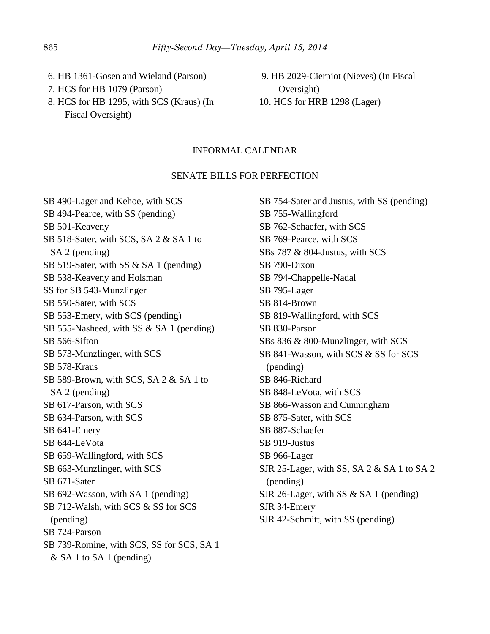- 6. HB 1361-Gosen and Wieland (Parson)
- 7. HCS for HB 1079 (Parson)
- 8. HCS for HB 1295, with SCS (Kraus) (In Fiscal Oversight)

 9. HB 2029-Cierpiot (Nieves) (In Fiscal Oversight) 10. HCS for HRB 1298 (Lager)

#### INFORMAL CALENDAR

#### SENATE BILLS FOR PERFECTION

SB 490-Lager and Kehoe, with SCS SB 494-Pearce, with SS (pending) SB 501-Keaveny SB 518-Sater, with SCS, SA 2 & SA 1 to SA 2 (pending) SB 519-Sater, with SS & SA 1 (pending) SB 538-Keaveny and Holsman SS for SB 543-Munzlinger SB 550-Sater, with SCS SB 553-Emery, with SCS (pending) SB 555-Nasheed, with SS & SA 1 (pending) SB 566-Sifton SB 573-Munzlinger, with SCS SB 578-Kraus SB 589-Brown, with SCS, SA 2 & SA 1 to SA 2 (pending) SB 617-Parson, with SCS SB 634-Parson, with SCS SB 641-Emery SB 644-LeVota SB 659-Wallingford, with SCS SB 663-Munzlinger, with SCS SB 671-Sater SB 692-Wasson, with SA 1 (pending) SB 712-Walsh, with SCS & SS for SCS (pending) SB 724-Parson SB 739-Romine, with SCS, SS for SCS, SA 1 & SA 1 to SA 1 (pending)

SB 754-Sater and Justus, with SS (pending) SB 755-Wallingford SB 762-Schaefer, with SCS SB 769-Pearce, with SCS SBs 787 & 804-Justus, with SCS SB 790-Dixon SB 794-Chappelle-Nadal SB 795-Lager SB 814-Brown SB 819-Wallingford, with SCS SB 830-Parson SBs 836 & 800-Munzlinger, with SCS SB 841-Wasson, with SCS & SS for SCS (pending) SB 846-Richard SB 848-LeVota, with SCS SB 866-Wasson and Cunningham SB 875-Sater, with SCS SB 887-Schaefer SB 919-Justus SB 966-Lager SJR 25-Lager, with SS, SA 2 & SA 1 to SA 2 (pending) SJR 26-Lager, with SS & SA 1 (pending) SJR 34-Emery SJR 42-Schmitt, with SS (pending)